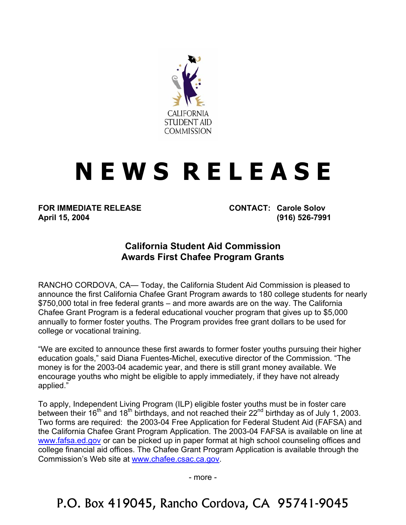

## **N E W S R E L E A S E**

**FOR IMMEDIATE RELEASE CONTACT: Carole Solov April 15, 2004 (916) 526-7991** 

## **California Student Aid Commission Awards First Chafee Program Grants**

RANCHO CORDOVA, CA— Today, the California Student Aid Commission is pleased to announce the first California Chafee Grant Program awards to 180 college students for nearly \$750,000 total in free federal grants – and more awards are on the way. The California Chafee Grant Program is a federal educational voucher program that gives up to \$5,000 annually to former foster youths. The Program provides free grant dollars to be used for college or vocational training.

"We are excited to announce these first awards to former foster youths pursuing their higher education goals," said Diana Fuentes-Michel, executive director of the Commission. "The money is for the 2003-04 academic year, and there is still grant money available. We encourage youths who might be eligible to apply immediately, if they have not already applied."

To apply, Independent Living Program (ILP) eligible foster youths must be in foster care between their 16<sup>th</sup> and 18<sup>th</sup> birthdays, and not reached their 22<sup>nd</sup> birthday as of July 1, 2003. Two forms are required: the 2003-04 Free Application for Federal Student Aid (FAFSA) and the California Chafee Grant Program Application. The 2003-04 FAFSA is available on line at [www.fafsa.ed.gov](http://www.fafsa.ed.gov/) or can be picked up in paper format at high school counseling offices and college financial aid offices. The Chafee Grant Program Application is available through the Commission's Web site at [www.chafee.csac.ca.gov.](http://www.csac.ca.gov/)

- more -

P.O. Box 419045, Rancho Cordova, CA 95741-9045